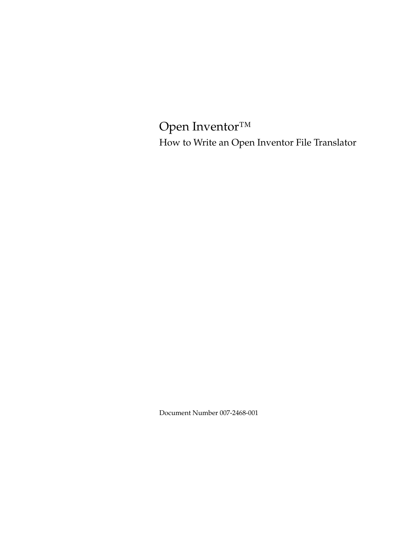Open Inventor™ How to Write an Open Inventor File Translator

Document Number 007-2468-001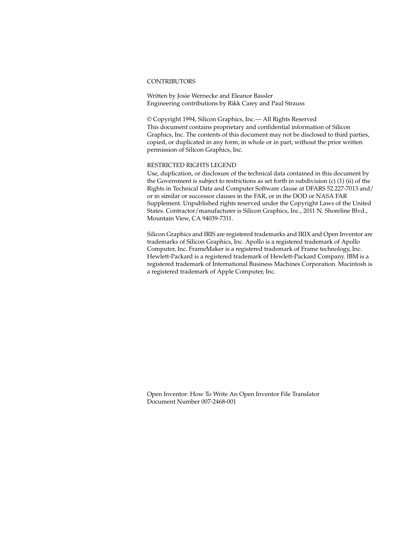#### **CONTRIBUTORS**

Written by Josie Wernecke and Eleanor Bassler Engineering contributions by Rikk Carey and Paul Strauss

© Copyright 1994, Silicon Graphics, Inc.— All Rights Reserved This document contains proprietary and confidential information of Silicon Graphics, Inc. The contents of this document may not be disclosed to third parties, copied, or duplicated in any form, in whole or in part, without the prior written permission of Silicon Graphics, Inc.

#### RESTRICTED RIGHTS LEGEND

Use, duplication, or disclosure of the technical data contained in this document by the Government is subject to restrictions as set forth in subdivision (c) (1) (ii) of the Rights in Technical Data and Computer Software clause at DFARS 52.227-7013 and/ or in similar or successor clauses in the FAR, or in the DOD or NASA FAR Supplement. Unpublished rights reserved under the Copyright Laws of the United States. Contractor/manufacturer is Silicon Graphics, Inc., 2011 N. Shoreline Blvd., Mountain View, CA 94039-7311.

Silicon Graphics and IRIS are registered trademarks and IRIX and Open Inventor are trademarks of Silicon Graphics, Inc. Apollo is a registered trademark of Apollo Computer, Inc. FrameMaker is a registered trademark of Frame technology, Inc. Hewlett-Packard is a registered trademark of Hewlett-Packard Company. IBM is a registered trademark of International Business Machines Corporation. Macintosh is a registered trademark of Apple Computer, Inc.

Open Inventor: How To Write An Open Inventor File Translator Document Number 007-2468-001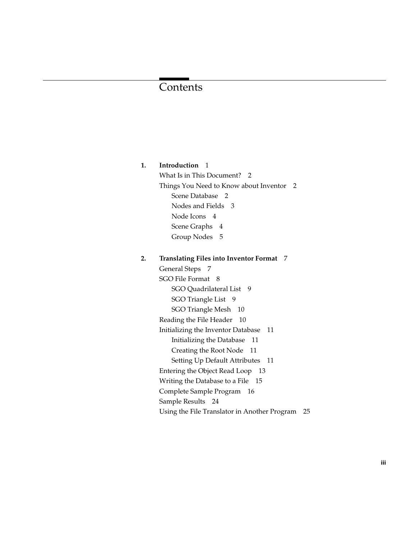# Contents

# **1. Introduction** 1 What Is in This Document? 2 Things You Need to Know about Inventor 2 Scene Database 2 Nodes and Fields 3 Node Icons 4 Scene Graphs 4 Group Nodes 5

#### **2. Translating Files into Inventor Format** 7

General Steps 7 SGO File Format 8 SGO Quadrilateral List 9 SGO Triangle List 9 SGO Triangle Mesh 10 Reading the File Header 10 Initializing the Inventor Database 11 Initializing the Database 11 Creating the Root Node 11 Setting Up Default Attributes 11 Entering the Object Read Loop 13 Writing the Database to a File 15 Complete Sample Program 16 Sample Results 24 Using the File Translator in Another Program 25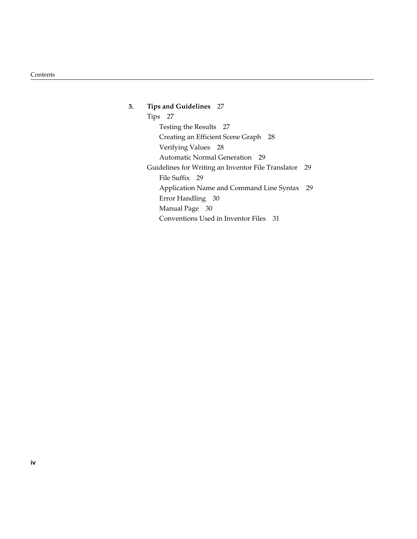**3. Tips and Guidelines** 27 Tips 27 Testing the Results 27 Creating an Efficient Scene Graph 28 Verifying Values 28 Automatic Normal Generation 29 Guidelines for Writing an Inventor File Translator 29 File Suffix 29 Application Name and Command Line Syntax 29 Error Handling 30 Manual Page 30 Conventions Used in Inventor Files 31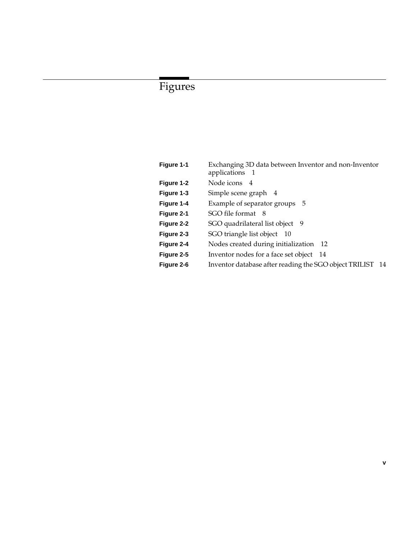# Figures

| Figure 1-1 | Exchanging 3D data between Inventor and non-Inventor<br>applications 1 |
|------------|------------------------------------------------------------------------|
| Figure 1-2 | Node icons 4                                                           |
| Figure 1-3 | Simple scene graph 4                                                   |
| Figure 1-4 | Example of separator groups 5                                          |
| Figure 2-1 | SGO file format 8                                                      |
| Figure 2-2 | SGO quadrilateral list object 9                                        |
| Figure 2-3 | SGO triangle list object 10                                            |
| Figure 2-4 | Nodes created during initialization 12                                 |
| Figure 2-5 | Inventor nodes for a face set object 14                                |
| Figure 2-6 | Inventor database after reading the SGO object TRILIST<br>- 14         |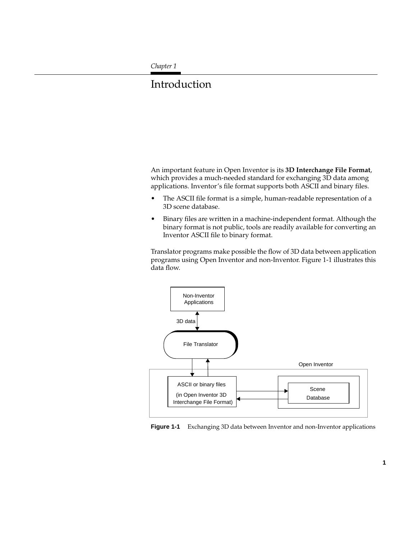*Chapter 1*

# **Introduction**

An important feature in Open Inventor is its **3D Interchange File Format**, which provides a much-needed standard for exchanging 3D data among applications. Inventor's file format supports both ASCII and binary files.

- The ASCII file format is a simple, human-readable representation of a 3D scene database.
- Binary files are written in a machine-independent format. Although the binary format is not public, tools are readily available for converting an Inventor ASCII file to binary format.

Translator programs make possible the flow of 3D data between application programs using Open Inventor and non-Inventor. Figure 1-1 illustrates this data flow.



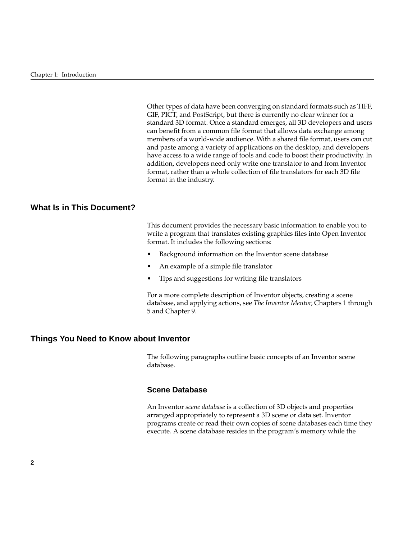Other types of data have been converging on standard formats such as TIFF, GIF, PICT, and PostScript, but there is currently no clear winner for a standard 3D format. Once a standard emerges, all 3D developers and users can benefit from a common file format that allows data exchange among members of a world-wide audience. With a shared file format, users can cut and paste among a variety of applications on the desktop, and developers have access to a wide range of tools and code to boost their productivity. In addition, developers need only write one translator to and from Inventor format, rather than a whole collection of file translators for each 3D file format in the industry.

# **What Is in This Document?**

This document provides the necessary basic information to enable you to write a program that translates existing graphics files into Open Inventor format. It includes the following sections:

- Background information on the Inventor scene database
- An example of a simple file translator
- Tips and suggestions for writing file translators

For a more complete description of Inventor objects, creating a scene database, and applying actions, see *The Inventor Mentor,* Chapters 1 through 5 and Chapter 9.

### **Things You Need to Know about Inventor**

The following paragraphs outline basic concepts of an Inventor scene database.

#### **Scene Database**

An Inventor *scene database* is a collection of 3D objects and properties arranged appropriately to represent a 3D scene or data set. Inventor programs create or read their own copies of scene databases each time they execute. A scene database resides in the program's memory while the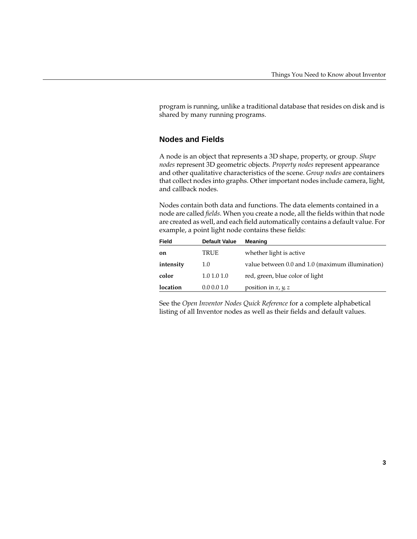program is running, unlike a traditional database that resides on disk and is shared by many running programs.

# **Nodes and Fields**

A node is an object that represents a 3D shape, property, or group. *Shape nodes* represent 3D geometric objects. *Property nodes* represent appearance and other qualitative characteristics of the scene. *Group nodes* are containers that collect nodes into graphs. Other important nodes include camera, light, and callback nodes.

Nodes contain both data and functions. The data elements contained in a node are called *fields*. When you create a node, all the fields within that node are created as well, and each field automatically contains a default value. For example, a point light node contains these fields:

| Field     | <b>Default Value</b> | Meaning                                          |
|-----------|----------------------|--------------------------------------------------|
| on        | TRUE                 | whether light is active                          |
| intensity | 1.0                  | value between 0.0 and 1.0 (maximum illumination) |
| color     | 1.01.01.0            | red, green, blue color of light                  |
| location  | 0.0 0.0 1.0          | position in x, $y$ , z                           |

See the *Open Inventor Nodes Quick Reference* for a complete alphabetical listing of all Inventor nodes as well as their fields and default values.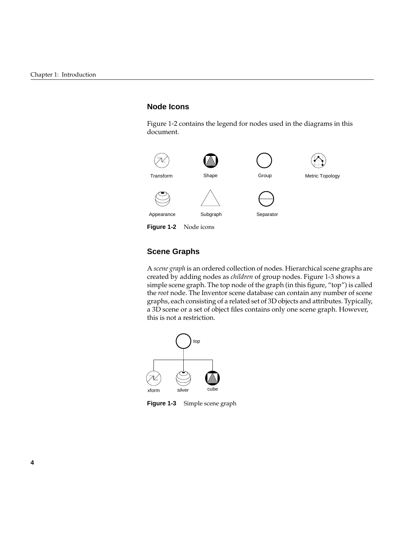# **Node Icons**

Figure 1-2 contains the legend for nodes used in the diagrams in this document.



# **Scene Graphs**

A *scene graph* is an ordered collection of nodes. Hierarchical scene graphs are created by adding nodes as *children* of group nodes. Figure 1-3 shows a simple scene graph. The top node of the graph (in this figure, "top") is called the *root* node. The Inventor scene database can contain any number of scene graphs, each consisting of a related set of 3D objects and attributes. Typically, a 3D scene or a set of object files contains only one scene graph. However, this is not a restriction.



**Figure 1-3** Simple scene graph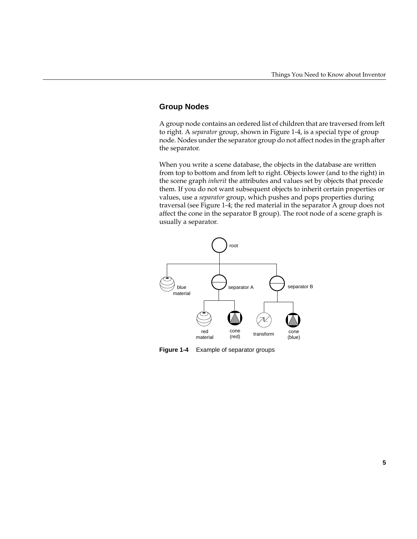# **Group Nodes**

A group node contains an ordered list of children that are traversed from left to right. A *separator* group, shown in Figure 1-4, is a special type of group node. Nodes under the separator group do not affect nodes in the graph after the separator.

When you write a scene database, the objects in the database are written from top to bottom and from left to right. Objects lower (and to the right) in the scene graph *inherit* the attributes and values set by objects that precede them. If you do not want subsequent objects to inherit certain properties or values, use a *separator* group, which pushes and pops properties during traversal (see Figure 1-4; the red material in the separator A group does not affect the cone in the separator B group). The root node of a scene graph is usually a separator.



**Figure 1-4** Example of separator groups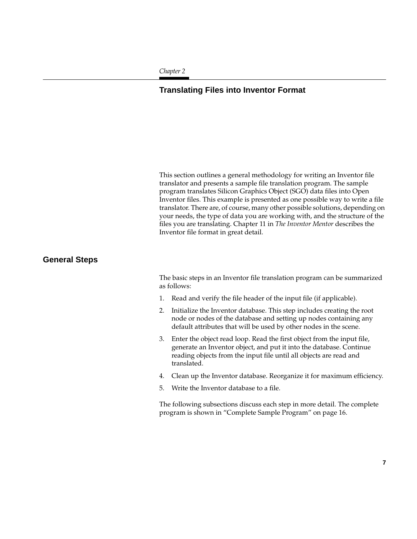#### *Chapter 2*

# **Translating Files into Inventor Format**

This section outlines a general methodology for writing an Inventor file translator and presents a sample file translation program. The sample program translates Silicon Graphics Object (SGO) data files into Open Inventor files. This example is presented as one possible way to write a file translator. There are, of course, many other possible solutions, depending on your needs, the type of data you are working with, and the structure of the files you are translating. Chapter 11 in *The Inventor Mentor* describes the Inventor file format in great detail.

# **General Steps**

The basic steps in an Inventor file translation program can be summarized as follows:

- 1. Read and verify the file header of the input file (if applicable).
- 2. Initialize the Inventor database. This step includes creating the root node or nodes of the database and setting up nodes containing any default attributes that will be used by other nodes in the scene.
- 3. Enter the object read loop. Read the first object from the input file, generate an Inventor object, and put it into the database. Continue reading objects from the input file until all objects are read and translated.
- 4. Clean up the Inventor database. Reorganize it for maximum efficiency.
- 5. Write the Inventor database to a file.

The following subsections discuss each step in more detail. The complete program is shown in "Complete Sample Program" on page 16.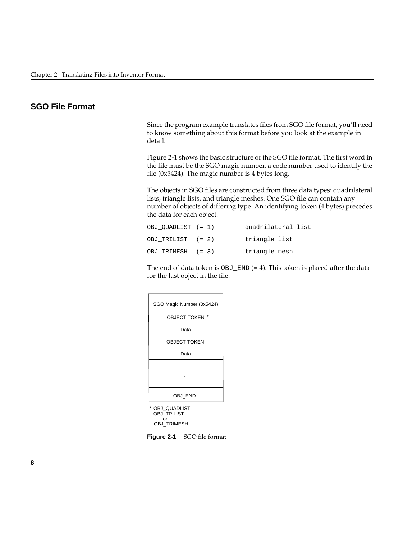# **SGO File Format**

Since the program example translates files from SGO file format, you'll need to know something about this format before you look at the example in detail.

Figure 2-1 shows the basic structure of the SGO file format. The first word in the file must be the SGO magic number, a code number used to identify the file (0x5424). The magic number is 4 bytes long.

The objects in SGO files are constructed from three data types: quadrilateral lists, triangle lists, and triangle meshes. One SGO file can contain any number of objects of differing type. An identifying token (4 bytes) precedes the data for each object:

| OBJ OUADLIST (= 1) | quadrilateral list |
|--------------------|--------------------|
| OBJ TRILIST (= 2)  | triangle list      |
| OBJ TRIMESH (= 3)  | triangle mesh      |

The end of data token is  $OBJ$  END (= 4). This token is placed after the data for the last object in the file.

| SGO Magic Number (0x5424) |  |  |
|---------------------------|--|--|
| *<br><b>OBJECT TOKEN</b>  |  |  |
| Data                      |  |  |
| <b>OBJECT TOKEN</b>       |  |  |
| Data                      |  |  |
|                           |  |  |
| OBJ END                   |  |  |
|                           |  |  |

\* OBJ\_QUADLIST OBJ\_TRILIST or OBJ\_TRIMESH

**Figure 2-1** SGO file format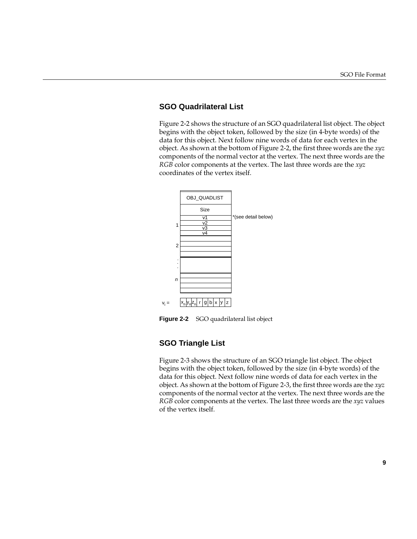# **SGO Quadrilateral List**

Figure 2-2 shows the structure of an SGO quadrilateral list object. The object begins with the object token, followed by the size (in 4-byte words) of the data for this object. Next follow nine words of data for each vertex in the object. As shown at the bottom of Figure 2-2, the first three words are the *xyz* components of the normal vector at the vertex. The next three words are the *RGB* color components at the vertex. The last three words are the *xyz* coordinates of the vertex itself.



**Figure 2-2** SGO quadrilateral list object

#### **SGO Triangle List**

Figure 2-3 shows the structure of an SGO triangle list object. The object begins with the object token, followed by the size (in 4-byte words) of the data for this object. Next follow nine words of data for each vertex in the object. As shown at the bottom of Figure 2-3, the first three words are the *xyz* components of the normal vector at the vertex. The next three words are the *RGB* color components at the vertex. The last three words are the *xyz* values of the vertex itself.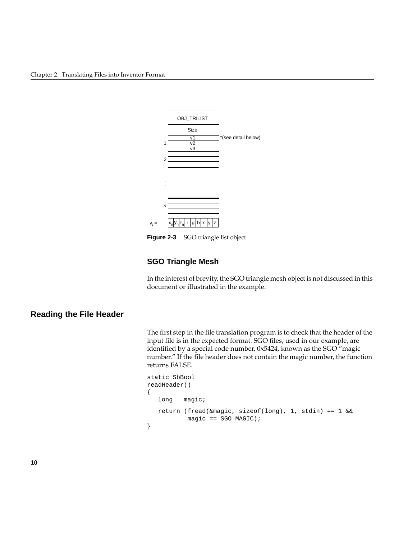

**Figure 2-3** SGO triangle list object

# **SGO Triangle Mesh**

In the interest of brevity, the SGO triangle mesh object is not discussed in this document or illustrated in the example.

# **Reading the File Header**

The first step in the file translation program is to check that the header of the input file is in the expected format. SGO files, used in our example, are identified by a special code number, 0x5424, known as the SGO "magic number." If the file header does not contain the magic number, the function returns FALSE.

```
static SbBool
readHeader()
{
   long magic;
   return (fread(&magic, sizeof(long), 1, stdin) == 1 &&
            magic == SGO_MAGIC);
}
```
**10**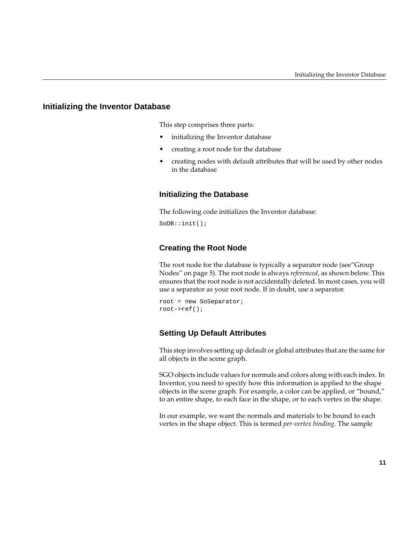#### **Initializing the Inventor Database**

This step comprises three parts:

- initializing the Inventor database
- creating a root node for the database
- creating nodes with default attributes that will be used by other nodes in the database

#### **Initializing the Database**

The following code initializes the Inventor database:

SoDB::init();

#### **Creating the Root Node**

The root node for the database is typically a separator node (see"Group Nodes" on page 5). The root node is always *referenced*, as shown below. This ensures that the root node is not accidentally deleted. In most cases, you will use a separator as your root node. If in doubt, use a separator.

root = new SoSeparator; root->ref();

#### **Setting Up Default Attributes**

This step involves setting up default or global attributes that are the same for all objects in the scene graph.

SGO objects include values for normals and colors along with each index. In Inventor, you need to specify how this information is applied to the shape objects in the scene graph. For example, a color can be applied, or "bound," to an entire shape, to each face in the shape, or to each vertex in the shape.

In our example, we want the normals and materials to be bound to each vertex in the shape object. This is termed *per-vertex binding*. The sample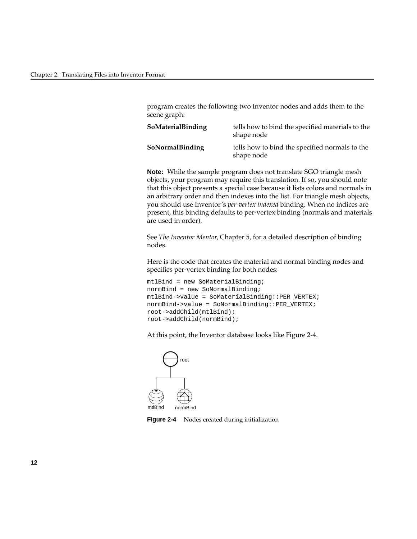program creates the following two Inventor nodes and adds them to the scene graph:

| <b>SoMaterialBinding</b> | tells how to bind the specified materials to the<br>shape node |
|--------------------------|----------------------------------------------------------------|
| <b>SoNormalBinding</b>   | tells how to bind the specified normals to the<br>shape node   |

**Note:** While the sample program does not translate SGO triangle mesh objects, your program may require this translation. If so, you should note that this object presents a special case because it lists colors and normals in an arbitrary order and then indexes into the list. For triangle mesh objects, you should use Inventor's *per-vertex indexed* binding. When no indices are present, this binding defaults to per-vertex binding (normals and materials are used in order).

See *The Inventor Mentor*, Chapter 5, for a detailed description of binding nodes.

Here is the code that creates the material and normal binding nodes and specifies per-vertex binding for both nodes:

```
mtlBind = new SoMaterialBinding;
normBind = new SoNormalBinding;
mtlBind->value = SoMaterialBinding::PER_VERTEX;
normBind->value = SoNormalBinding::PER_VERTEX;
root->addChild(mtlBind);
root->addChild(normBind);
```
At this point, the Inventor database looks like Figure 2-4.



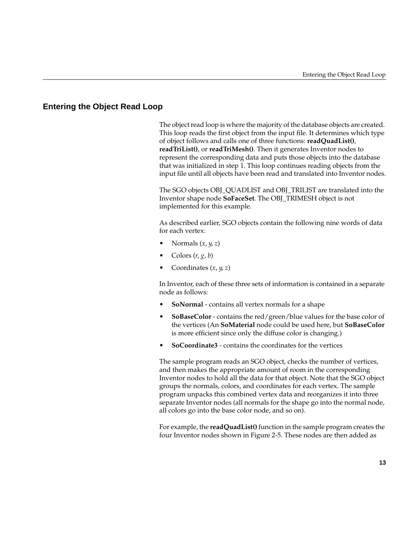# **Entering the Object Read Loop**

The object read loop is where the majority of the database objects are created. This loop reads the first object from the input file. It determines which type of object follows and calls one of three functions: **readQuadList()**, **readTriList()**, or **readTriMesh()**. Then it generates Inventor nodes to represent the corresponding data and puts those objects into the database that was initialized in step 1. This loop continues reading objects from the input file until all objects have been read and translated into Inventor nodes.

The SGO objects OBJ\_QUADLIST and OBJ\_TRILIST are translated into the Inventor shape node **SoFaceSet**. The OBJ\_TRIMESH object is not implemented for this example.

As described earlier, SGO objects contain the following nine words of data for each vertex:

- Normals (*x*, *y*, *z*)
- Colors (*r*, *g*, *b*)
- Coordinates (*x*, *y*, *z*)

In Inventor, each of these three sets of information is contained in a separate node as follows:

- **SoNormal** contains all vertex normals for a shape
- **SoBaseColor** contains the red/green/blue values for the base color of the vertices (An **SoMaterial** node could be used here, but **SoBaseColor** is more efficient since only the diffuse color is changing.)
- **SoCoordinate3** contains the coordinates for the vertices

The sample program reads an SGO object, checks the number of vertices, and then makes the appropriate amount of room in the corresponding Inventor nodes to hold all the data for that object. Note that the SGO object groups the normals, colors, and coordinates for each vertex. The sample program unpacks this combined vertex data and reorganizes it into three separate Inventor nodes (all normals for the shape go into the normal node, all colors go into the base color node, and so on).

For example, the **readQuadList()** function in the sample program creates the four Inventor nodes shown in Figure 2-5. These nodes are then added as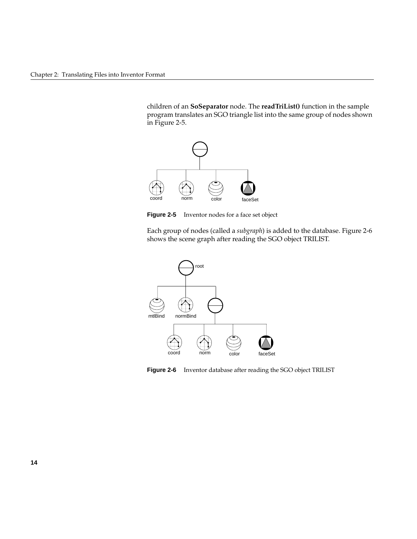children of an **SoSeparator** node. The **readTriList()** function in the sample program translates an SGO triangle list into the same group of nodes shown in Figure 2-5.



**Figure 2-5** Inventor nodes for a face set object

Each group of nodes (called a *subgraph*) is added to the database. Figure 2-6 shows the scene graph after reading the SGO object TRILIST.



**Figure 2-6** Inventor database after reading the SGO object TRILIST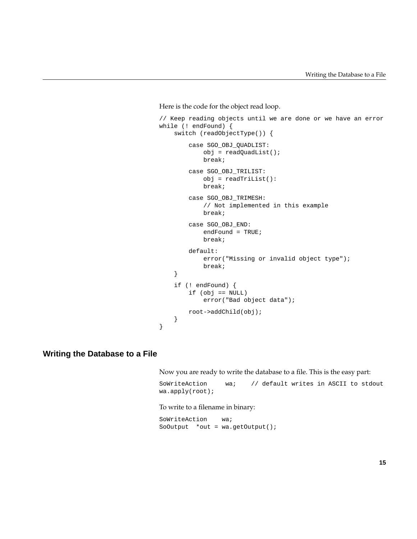Here is the code for the object read loop.

```
// Keep reading objects until we are done or we have an error
while (! endFound) {
     switch (readObjectType()) {
         case SGO_OBJ_QUADLIST:
             obj = readQuadList();
             break;
         case SGO_OBJ_TRILIST:
            obj = readTriList():
             break;
         case SGO_OBJ_TRIMESH:
             // Not implemented in this example
             break;
         case SGO_OBJ_END:
             endFound = TRUE;
             break;
         default:
             error("Missing or invalid object type");
             break;
     }
     if (! endFound) {
         if (obj == NULL)
             error("Bad object data");
        root->addChild(obj);
     }
}
```
# **Writing the Database to a File**

Now you are ready to write the database to a file. This is the easy part:

```
SoWriteAction wa; // default writes in ASCII to stdout
wa.apply(root);
```
#### To write to a filename in binary:

SoWriteAction wa; SoOutput \*out = wa.getOutput();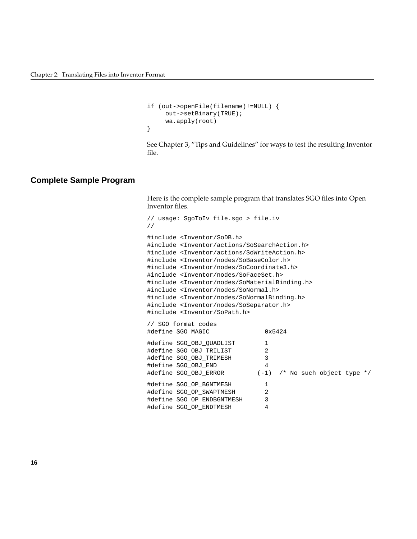```
if (out->openFile(filename)!=NULL) {
      out->setBinary(TRUE);
      wa.apply(root)
}
```
See Chapter 3, "Tips and Guidelines" for ways to test the resulting Inventor file.

# **Complete Sample Program**

Here is the complete sample program that translates SGO files into Open Inventor files.

```
// usage: SgoToIv file.sgo > file.iv
//
#include <Inventor/SoDB.h>
#include <Inventor/actions/SoSearchAction.h>
#include <Inventor/actions/SoWriteAction.h>
#include <Inventor/nodes/SoBaseColor.h>
#include <Inventor/nodes/SoCoordinate3.h>
#include <Inventor/nodes/SoFaceSet.h>
#include <Inventor/nodes/SoMaterialBinding.h>
#include <Inventor/nodes/SoNormal.h>
#include <Inventor/nodes/SoNormalBinding.h>
#include <Inventor/nodes/SoSeparator.h>
#include <Inventor/SoPath.h>
// SGO format codes
#define SGO_MAGIC 0x5424
#define SGO_OBJ_QUADLIST 1
#define SGO_OBJ_TRILIST 2
#define SGO_OBJ_TRIMESH 3
#define SGO_OBJ_END 4
#define SGO_OBJ_ERROR (-1) /* No such object type */
#define SGO OP BGNTMESH 1
#define SGO_OP_SWAPTMESH 2
#define SGO_OP_ENDBGNTMESH 3
#define SGO_OP_ENDTMESH 4
```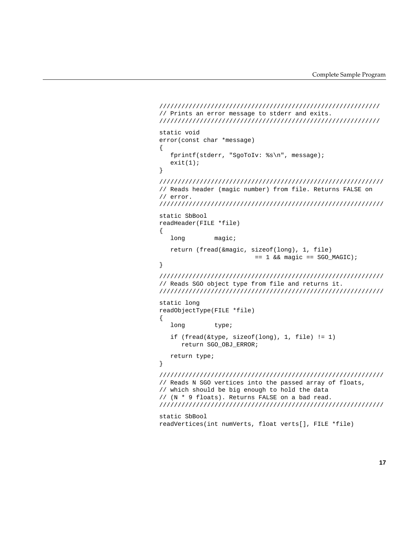```
////////////////////////////////////////////////////////////
// Prints an error message to stderr and exits.
////////////////////////////////////////////////////////////
static void
error(const char *message)
{
    fprintf(stderr, "SgoToIv: %s\n", message);
   exit(1);}
/////////////////////////////////////////////////////////////
// Reads header (magic number) from file. Returns FALSE on
// error.
/////////////////////////////////////////////////////////////
static SbBool
readHeader(FILE *file)
{
   long magic;
    return (fread(&magic, sizeof(long), 1, file)
                          == 1 && magic == SGO_MAGIC);
}
/////////////////////////////////////////////////////////////
// Reads SGO object type from file and returns it.
/////////////////////////////////////////////////////////////
static long
readObjectType(FILE *file)
{
   long type;
    if (fread(&type, sizeof(long), 1, file) != 1)
       return SGO_OBJ_ERROR;
    return type;
}
/////////////////////////////////////////////////////////////
// Reads N SGO vertices into the passed array of floats,
// which should be big enough to hold the data
// (N * 9 floats). Returns FALSE on a bad read.
/////////////////////////////////////////////////////////////
static SbBool
readVertices(int numVerts, float verts[], FILE *file)
```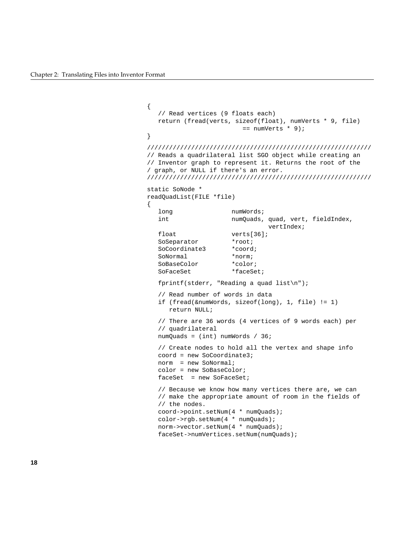```
{
   // Read vertices (9 floats each)
   return (fread(verts, sizeof(float), numVerts * 9, file)
                         == numVerts * 9);
}
/////////////////////////////////////////////////////////////
// Reads a quadrilateral list SGO object while creating an
// Inventor graph to represent it. Returns the root of the
/ graph, or NULL if there's an error.
/////////////////////////////////////////////////////////////
static SoNode *
readQuadList(FILE *file)
{
  long numWords;
  int numQuads, quad, vert, fieldIndex,
                                vertIndex;
  float verts[36];
  SoSeparator *root;
   SoCoordinate3 *coord;
   SoNormal *norm;
   SoBaseColor *color;
  SoFaceSet *faceSet;
   fprintf(stderr, "Reading a quad list\n");
    // Read number of words in data
   if (fread(&numWords, sizeof(long), 1, file) != 1)
      return NULL;
    // There are 36 words (4 vertices of 9 words each) per
    // quadrilateral
   numQuads = (int) numWords / 36;
   // Create nodes to hold all the vertex and shape info
   coord = new SoCoordinate3;
   norm = new SoNormal;
   color = new SoBaseColor;
  faceSet = new SoFaceSet;
   // Because we know how many vertices there are, we can
   // make the appropriate amount of room in the fields of
   // the nodes.
   coord->point.setNum(4 * numQuads);
   color->rgb.setNum(4 * numQuads);
   norm->vector.setNum(4 * numQuads);
   faceSet->numVertices.setNum(numQuads);
```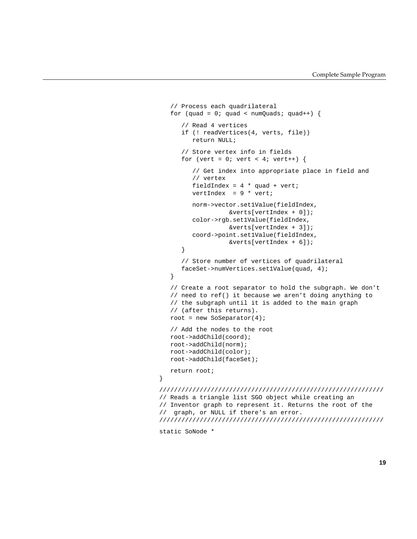```
 // Process each quadrilateral
   for (quad = 0; quad < numQuads; quad++) {
       // Read 4 vertices
       if (! readVertices(4, verts, file))
          return NULL;
       // Store vertex info in fields
      for (vert = 0; vert < 4; vert++) {
          // Get index into appropriate place in field and
          // vertex
         fieldIndex = 4 * quad + vert;
          vertIndex = 9 * vert;
          norm->vector.set1Value(fieldIndex,
                    &verts[vertIndex + 0]);
          color->rgb.set1Value(fieldIndex,
                    &verts[vertIndex + 3]);
          coord->point.set1Value(fieldIndex,
                    &verts[vertIndex + 6]);
       }
       // Store number of vertices of quadrilateral
       faceSet->numVertices.set1Value(quad, 4);
    }
    // Create a root separator to hold the subgraph. We don't
    // need to ref() it because we aren't doing anything to
    // the subgraph until it is added to the main graph
    // (after this returns).
    root = new SoSeparator(4);
    // Add the nodes to the root
    root->addChild(coord);
    root->addChild(norm);
    root->addChild(color);
    root->addChild(faceSet);
    return root;
}
/////////////////////////////////////////////////////////////
// Reads a triangle list SGO object while creating an
// Inventor graph to represent it. Returns the root of the
// graph, or NULL if there's an error.
/////////////////////////////////////////////////////////////
```
static SoNode \*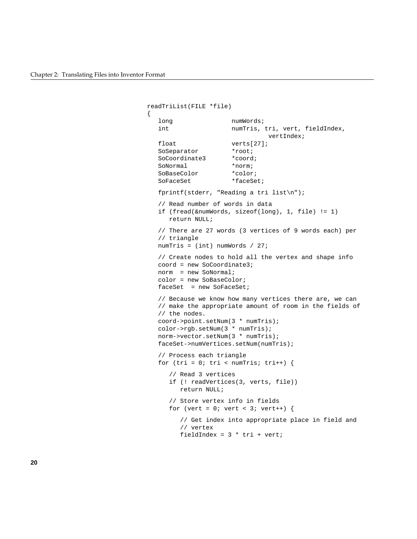$\{$ 

```
readTriList(FILE *file)
   long numWords;
  int numTris, tri, vert, fieldIndex,
                                vertIndex;
  float verts[27];
  SoSeparator *root;
   SoCoordinate3 *coord;
  SoNormal *norm;
   SoBaseColor *color;
  SoFaceSet *faceSet;
   fprintf(stderr, "Reading a tri list\n");
    // Read number of words in data
    if (fread(&numWords, sizeof(long), 1, file) != 1)
      return NULL;
    // There are 27 words (3 vertices of 9 words each) per
    // triangle
   numTris = (int) numWords / 27;
    // Create nodes to hold all the vertex and shape info
   coord = new SoCoordinate3;
   norm = new SoNormal;
    color = new SoBaseColor;
  faceSet = new SoFaceSet;
    // Because we know how many vertices there are, we can
    // make the appropriate amount of room in the fields of
    // the nodes.
   coord->point.setNum(3 * numTris);
   color->rgb.setNum(3 * numTris);
   norm->vector.setNum(3 * numTris);
   faceSet->numVertices.setNum(numTris);
    // Process each triangle
  for (tri = 0; tri < numTris; tri++) {
       // Read 3 vertices
      if (! readVertices(3, verts, file))
         return NULL;
       // Store vertex info in fields
     for (vert = 0; vert < 3; vert++) {
         // Get index into appropriate place in field and
         // vertex
        fieldIndex = 3 * tri + verti
```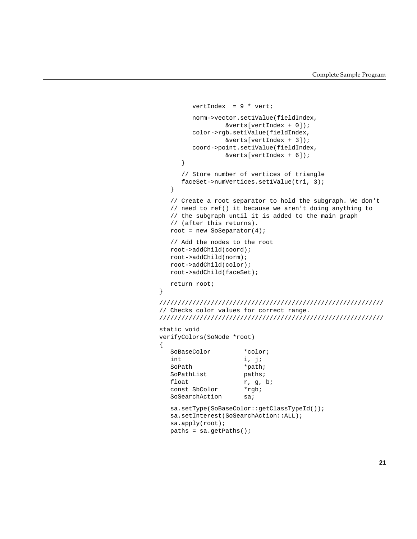```
vertIndex = 9 * vert;
         norm->vector.set1Value(fieldIndex,
                  &verts[vertIndex + 0]);
         color->rgb.set1Value(fieldIndex,
                  &verts[vertIndex + 3]);
         coord->point.set1Value(fieldIndex,
                  &verts[vertIndex + 6]);
      }
      // Store number of vertices of triangle
      faceSet->numVertices.set1Value(tri, 3);
    }
   // Create a root separator to hold the subgraph. We don't
   // need to ref() it because we aren't doing anything to
   // the subgraph until it is added to the main graph
   // (after this returns).
  root = new SoSeparator(4);
   // Add the nodes to the root
   root->addChild(coord);
   root->addChild(norm);
   root->addChild(color);
   root->addChild(faceSet);
   return root;
}
/////////////////////////////////////////////////////////////
// Checks color values for correct range.
/////////////////////////////////////////////////////////////
static void
verifyColors(SoNode *root)
{
   SoBaseColor *color;
   int i, j;
  SoPath *path;
  SoPathList paths;
  float r, g, b;
   const SbColor *rgb;
  SoSearchAction sa;
   sa.setType(SoBaseColor::getClassTypeId());
   sa.setInterest(SoSearchAction::ALL);
   sa.apply(root);
```

```
 paths = sa.getPaths();
```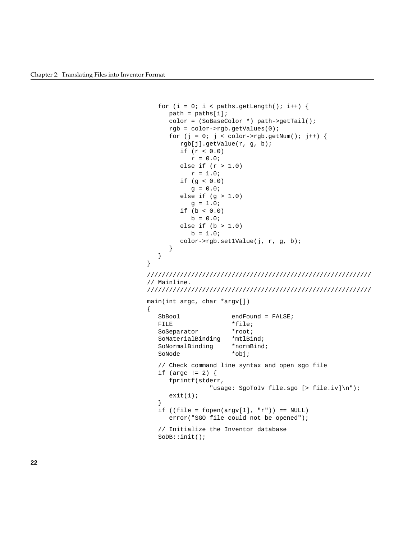}

{

```
for (i = 0; i < paths.getLength(); i++) {
      path = paths[i];
      color = (SoBaseColor *) path->getTail();
      rgb = color->rgb.getValues(0);
     for (j = 0; j < color->rgb.getNum(); j++) {
         rgb[j].getValue(r, g, b);
         if (r < 0.0)
           r = 0.0;else if (r > 1.0)r = 1.0;if (g < 0.0)q = 0.0; else if (g > 1.0)
            g = 1.0;
         if (b < 0.0)
           b = 0.0;else if (b > 1.0)b = 1.0; color->rgb.set1Value(j, r, g, b);
       }
    }
/////////////////////////////////////////////////////////////
// Mainline.
/////////////////////////////////////////////////////////////
main(int argc, char *argv[])
  SbBool endFound = FALSE;
  FILE *file;
  SoSeparator *root;
   SoMaterialBinding *mtlBind;
   SoNormalBinding *normBind;
   SoNode *obj;
    // Check command line syntax and open sgo file
   if (argc != 2) {
      fprintf(stderr,
                 "usage: SgoToIv file.sgo [> file.iv]\n");
     exit(1); }
  if ((file = fopen(argv[1], 'r')) == NULL)
      error("SGO file could not be opened");
    // Initialize the Inventor database
   SoDB::init();
```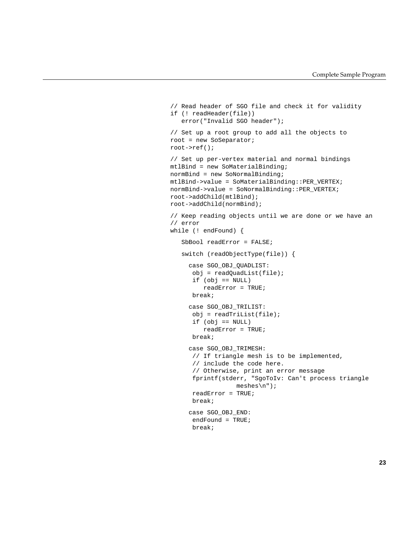```
 // Read header of SGO file and check it for validity
 if (! readHeader(file))
    error("Invalid SGO header");
 // Set up a root group to add all the objects to
 root = new SoSeparator;
 root->ref();
 // Set up per-vertex material and normal bindings
 mtlBind = new SoMaterialBinding;
 normBind = new SoNormalBinding;
 mtlBind->value = SoMaterialBinding::PER_VERTEX;
 normBind->value = SoNormalBinding::PER_VERTEX;
 root->addChild(mtlBind);
 root->addChild(normBind);
 // Keep reading objects until we are done or we have an
 // error
 while (! endFound) {
    SbBool readError = FALSE;
    switch (readObjectType(file)) {
      case SGO_OBJ_QUADLIST:
       obj = readQuadList(file);
      if (obj == NULL) readError = TRUE;
       break;
      case SGO_OBJ_TRILIST:
       obj = readTriList(file);
       if (obj == NULL)
          readError = TRUE;
       break;
      case SGO_OBJ_TRIMESH:
       // If triangle mesh is to be implemented,
       // include the code here.
       // Otherwise, print an error message
       fprintf(stderr, "SgoToIv: Can't process triangle
                   meshes\n");
       readError = TRUE;
       break;
      case SGO_OBJ_END:
       endFound = TRUE;
       break;
```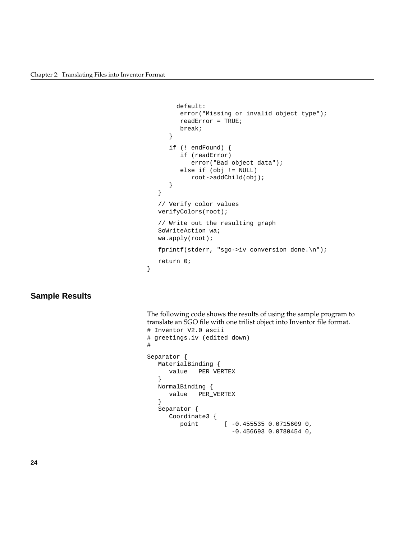}

```
 default:
       error("Missing or invalid object type");
       readError = TRUE;
       break;
    }
    if (! endFound) {
       if (readError)
          error("Bad object data");
       else if (obj != NULL)
          root->addChild(obj);
    }
 }
 // Verify color values
 verifyColors(root);
 // Write out the resulting graph
 SoWriteAction wa;
 wa.apply(root);
 fprintf(stderr, "sgo->iv conversion done.\n");
 return 0;
```
# **Sample Results**

The following code shows the results of using the sample program to translate an SGO file with one trilist object into Inventor file format. # Inventor V2.0 ascii

```
# greetings.iv (edited down)
#
Separator {
   MaterialBinding {
      value PER_VERTEX
    }
   NormalBinding {
      value PER_VERTEX
    }
   Separator {
      Coordinate3 {
         point [ -0.455535 0.0715609 0,
                        -0.456693 0.0780454 0,
```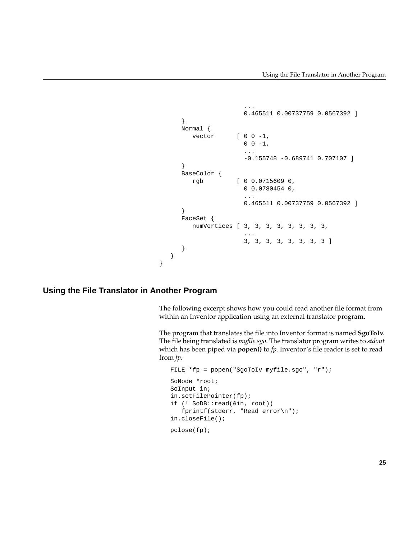```
 ...
                   0.465511 0.00737759 0.0567392 ]
     }
     Normal {
       vector [ 0 0 -1,
                  0 \t 0 \t -1,
 ...
                   -0.155748 -0.689741 0.707107 ]
     }
     BaseColor {
        rgb [ 0 0.0715609 0,
                   0 0.0780454 0,
 ...
                   0.465511 0.00737759 0.0567392 ]
     }
     FaceSet {
        numVertices [ 3, 3, 3, 3, 3, 3, 3, 3,
 ...
                   3, 3, 3, 3, 3, 3, 3, 3 ]
     }
   }
```
#### **Using the File Translator in Another Program**

}

The following excerpt shows how you could read another file format from within an Inventor application using an external translator program.

The program that translates the file into Inventor format is named **SgoToIv**. The file being translated is *myfile.sgo*. The translator program writes to *stdout* which has been piped via **popen()** to *fp*. Inventor's file reader is set to read from *fp*.

```
 FILE *fp = popen("SgoToIv myfile.sgo", "r");
 SoNode *root;
 SoInput in;
 in.setFilePointer(fp);
 if (! SoDB::read(&in, root))
    fprintf(stderr, "Read error\n");
 in.closeFile();
pclose(fp);
```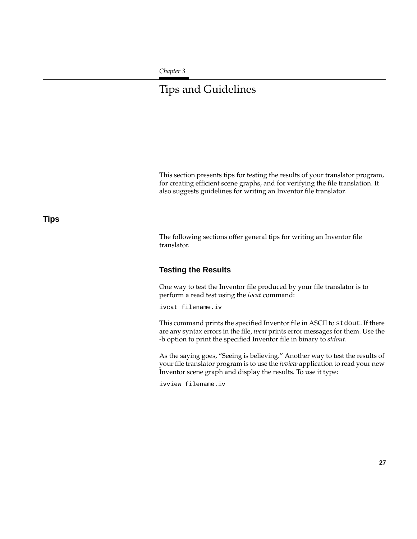#### *Chapter 3*

# Tips and Guidelines

This section presents tips for testing the results of your translator program, for creating efficient scene graphs, and for verifying the file translation. It also suggests guidelines for writing an Inventor file translator.

# **Tips**

The following sections offer general tips for writing an Inventor file translator.

# **Testing the Results**

One way to test the Inventor file produced by your file translator is to perform a read test using the *ivcat* command:

ivcat filename.iv

This command prints the specified Inventor file in ASCII to stdout. If there are any syntax errors in the file, *ivcat* prints error messages for them. Use the -b option to print the specified Inventor file in binary to *stdout*.

As the saying goes, "Seeing is believing." Another way to test the results of your file translator program is to use the *ivview* application to read your new Inventor scene graph and display the results. To use it type:

ivview filename.iv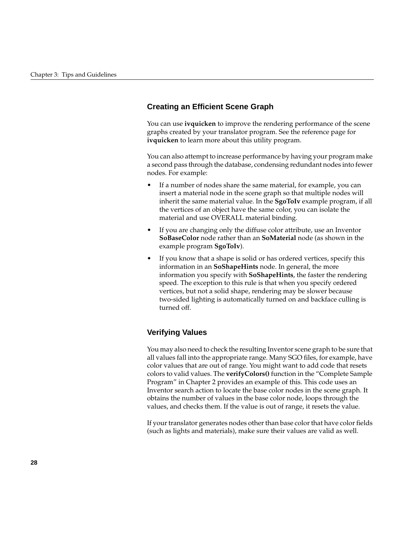# **Creating an Efficient Scene Graph**

You can use **ivquicken** to improve the rendering performance of the scene graphs created by your translator program. See the reference page for **ivquicken** to learn more about this utility program.

You can also attempt to increase performance by having your program make a second pass through the database, condensing redundant nodes into fewer nodes. For example:

- If a number of nodes share the same material, for example, you can insert a material node in the scene graph so that multiple nodes will inherit the same material value. In the **SgoToIv** example program, if all the vertices of an object have the same color, you can isolate the material and use OVERALL material binding.
- If you are changing only the diffuse color attribute, use an Inventor **SoBaseColor** node rather than an **SoMaterial** node (as shown in the example program **SgoToIv**).
- If you know that a shape is solid or has ordered vertices, specify this information in an **SoShapeHints** node. In general, the more information you specify with **SoShapeHints**, the faster the rendering speed. The exception to this rule is that when you specify ordered vertices, but not a solid shape, rendering may be slower because two-sided lighting is automatically turned on and backface culling is turned off.

# **Verifying Values**

You may also need to check the resulting Inventor scene graph to be sure that all values fall into the appropriate range. Many SGO files, for example, have color values that are out of range. You might want to add code that resets colors to valid values. The **verifyColors()** function in the "Complete Sample Program" in Chapter 2 provides an example of this. This code uses an Inventor search action to locate the base color nodes in the scene graph. It obtains the number of values in the base color node, loops through the values, and checks them. If the value is out of range, it resets the value.

If your translator generates nodes other than base color that have color fields (such as lights and materials), make sure their values are valid as well.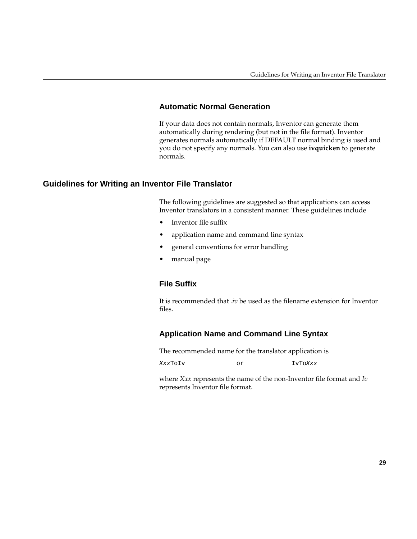# **Automatic Normal Generation**

If your data does not contain normals, Inventor can generate them automatically during rendering (but not in the file format). Inventor generates normals automatically if DEFAULT normal binding is used and you do not specify any normals. You can also use **ivquicken** to generate normals.

# **Guidelines for Writing an Inventor File Translator**

The following guidelines are suggested so that applications can access Inventor translators in a consistent manner. These guidelines include

- Inventor file suffix
- application name and command line syntax
- general conventions for error handling
- manual page

# **File Suffix**

It is recommended that *.iv* be used as the filename extension for Inventor files.

# **Application Name and Command Line Syntax**

The recommended name for the translator application is

XxxToIv or IvToXxx

where *Xxx* represents the name of the non-Inventor file format and *Iv* represents Inventor file format.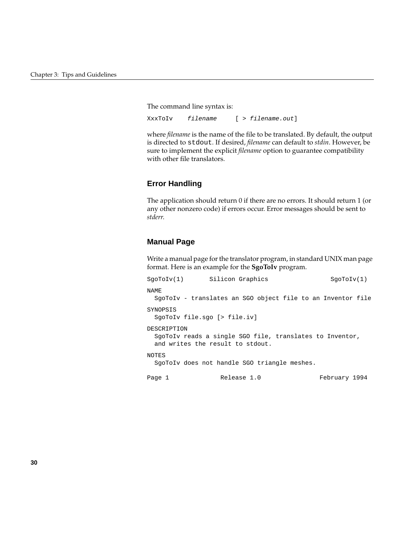The command line syntax is:

XxxToIv filename [ > filename.out]

where *filename* is the name of the file to be translated. By default, the output is directed to stdout. If desired, *filename* can default to *stdin*. However, be sure to implement the explicit *filename* option to guarantee compatibility with other file translators.

# **Error Handling**

The application should return 0 if there are no errors. It should return 1 (or any other nonzero code) if errors occur. Error messages should be sent to *stderr*.

#### **Manual Page**

Write a manual page for the translator program, in standard UNIX man page format. Here is an example for the **SgoToIv** program.

```
SgoToIv(1) Silicon Graphics SgoToIv(1)
NAME
 SgoToIv - translates an SGO object file to an Inventor file
SYNOPSIS
 SgoToIv file.sgo [> file.iv]
DESCRIPTION
 SgoToIv reads a single SGO file, translates to Inventor,
  and writes the result to stdout.
NOTES
 SgoToIv does not handle SGO triangle meshes.
Page 1 Release 1.0 February 1994
```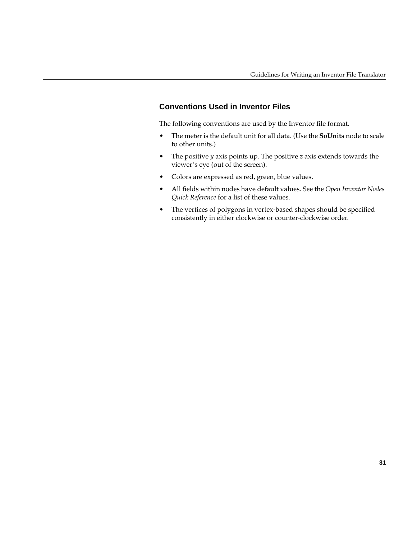# **Conventions Used in Inventor Files**

The following conventions are used by the Inventor file format.

- Τhe meter is the default unit for all data. (Use the **SoUnits** node to scale to other units.)
- The positive *y* axis points up. The positive *z* axis extends towards the viewer's eye (out of the screen).
- Colors are expressed as red, green, blue values.
- All fields within nodes have default values. See the *Open Inventor Nodes Quick Reference* for a list of these values.
- The vertices of polygons in vertex-based shapes should be specified consistently in either clockwise or counter-clockwise order.